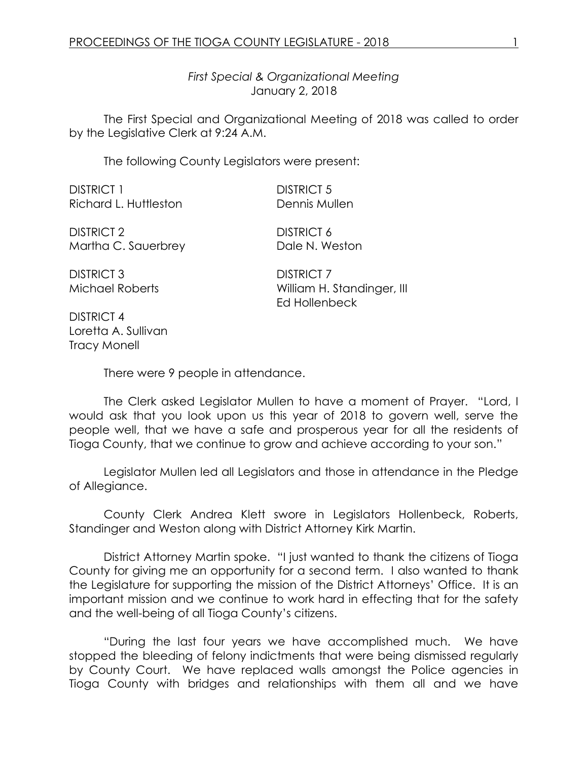*First Special & Organizational Meeting* January 2, 2018

The First Special and Organizational Meeting of 2018 was called to order by the Legislative Clerk at 9:24 A.M.

The following County Legislators were present:

DISTRICT 1 DISTRICT 5 Richard L. Huttleston **Dennis Mullen** 

DISTRICT 2 DISTRICT 6 Martha C. Sauerbrey Dale N. Weston

DISTRICT 3 DISTRICT 7

Michael Roberts William H. Standinger, III Ed Hollenbeck

DISTRICT 4 Loretta A. Sullivan Tracy Monell

There were 9 people in attendance.

The Clerk asked Legislator Mullen to have a moment of Prayer. "Lord, I would ask that you look upon us this year of 2018 to govern well, serve the people well, that we have a safe and prosperous year for all the residents of Tioga County, that we continue to grow and achieve according to your son."

Legislator Mullen led all Legislators and those in attendance in the Pledge of Allegiance.

County Clerk Andrea Klett swore in Legislators Hollenbeck, Roberts, Standinger and Weston along with District Attorney Kirk Martin.

District Attorney Martin spoke. "I just wanted to thank the citizens of Tioga County for giving me an opportunity for a second term. I also wanted to thank the Legislature for supporting the mission of the District Attorneys' Office. It is an important mission and we continue to work hard in effecting that for the safety and the well-being of all Tioga County's citizens.

"During the last four years we have accomplished much. We have stopped the bleeding of felony indictments that were being dismissed regularly by County Court. We have replaced walls amongst the Police agencies in Tioga County with bridges and relationships with them all and we have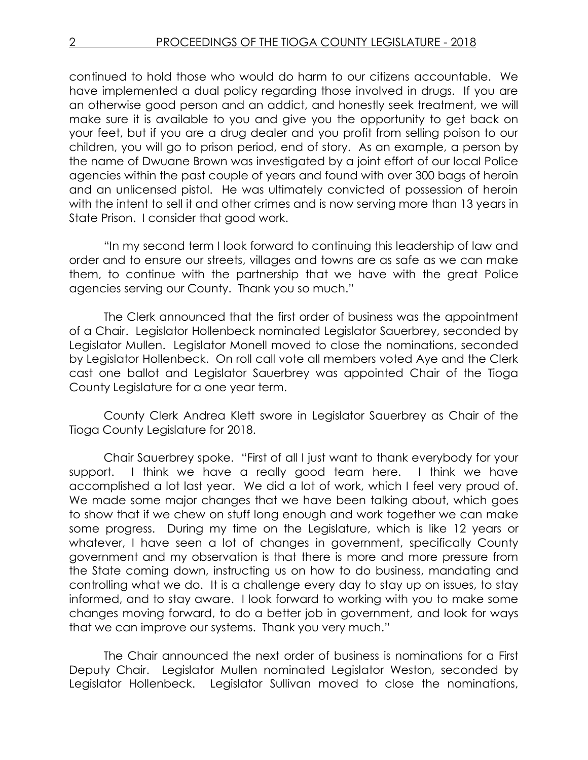continued to hold those who would do harm to our citizens accountable. We have implemented a dual policy regarding those involved in drugs. If you are an otherwise good person and an addict, and honestly seek treatment, we will make sure it is available to you and give you the opportunity to get back on your feet, but if you are a drug dealer and you profit from selling poison to our children, you will go to prison period, end of story. As an example, a person by the name of Dwuane Brown was investigated by a joint effort of our local Police agencies within the past couple of years and found with over 300 bags of heroin and an unlicensed pistol. He was ultimately convicted of possession of heroin with the intent to sell it and other crimes and is now serving more than 13 years in State Prison. I consider that good work.

"In my second term I look forward to continuing this leadership of law and order and to ensure our streets, villages and towns are as safe as we can make them, to continue with the partnership that we have with the great Police agencies serving our County. Thank you so much."

The Clerk announced that the first order of business was the appointment of a Chair. Legislator Hollenbeck nominated Legislator Sauerbrey, seconded by Legislator Mullen. Legislator Monell moved to close the nominations, seconded by Legislator Hollenbeck. On roll call vote all members voted Aye and the Clerk cast one ballot and Legislator Sauerbrey was appointed Chair of the Tioga County Legislature for a one year term.

County Clerk Andrea Klett swore in Legislator Sauerbrey as Chair of the Tioga County Legislature for 2018.

Chair Sauerbrey spoke. "First of all I just want to thank everybody for your support. I think we have a really good team here. I think we have accomplished a lot last year. We did a lot of work, which I feel very proud of. We made some major changes that we have been talking about, which goes to show that if we chew on stuff long enough and work together we can make some progress. During my time on the Legislature, which is like 12 years or whatever, I have seen a lot of changes in government, specifically County government and my observation is that there is more and more pressure from the State coming down, instructing us on how to do business, mandating and controlling what we do. It is a challenge every day to stay up on issues, to stay informed, and to stay aware. I look forward to working with you to make some changes moving forward, to do a better job in government, and look for ways that we can improve our systems. Thank you very much."

The Chair announced the next order of business is nominations for a First Deputy Chair. Legislator Mullen nominated Legislator Weston, seconded by Legislator Hollenbeck. Legislator Sullivan moved to close the nominations,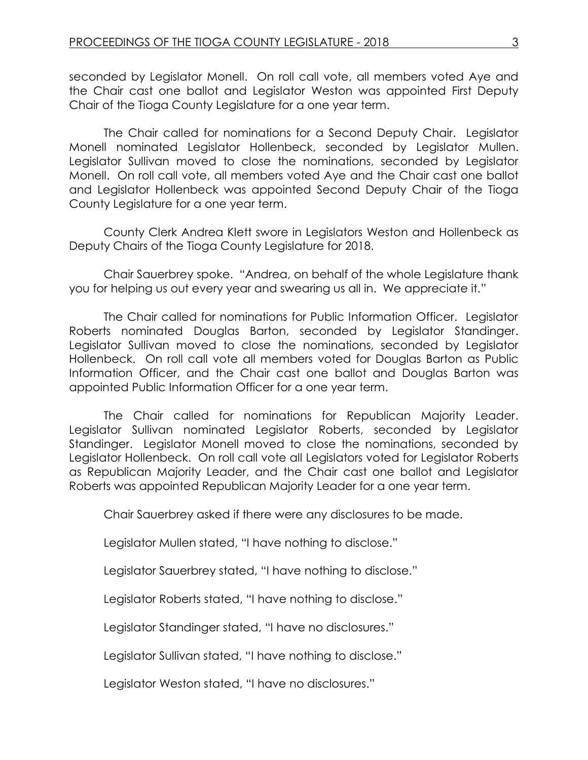seconded by Legislator Monell. On roll call vote, all members voted Aye and the Chair cast one ballot and Legislator Weston was appointed First Deputy Chair of the Tioga County Legislature for a one year term.

The Chair called for nominations for a Second Deputy Chair. Legislator Monell nominated Legislator Hollenbeck, seconded by Legislator Mullen. Legislator Sullivan moved to close the nominations, seconded by Legislator Monell. On roll call vote, all members voted Aye and the Chair cast one ballot and Legislator Hollenbeck was appointed Second Deputy Chair of the Tioga County Legislature for a one year term.

County Clerk Andrea Klett swore in Legislators Weston and Hollenbeck as Deputy Chairs of the Tioga County Legislature for 2018.

Chair Sauerbrey spoke. "Andrea, on behalf of the whole Legislature thank you for helping us out every year and swearing us all in. We appreciate it."

The Chair called for nominations for Public Information Officer. Legislator Roberts nominated Douglas Barton, seconded by Legislator Standinger. Legislator Sullivan moved to close the nominations, seconded by Legislator Hollenbeck. On roll call vote all members voted for Douglas Barton as Public Information Officer, and the Chair cast one ballot and Douglas Barton was appointed Public Information Officer for a one year term.

The Chair called for nominations for Republican Majority Leader. Legislator Sullivan nominated Legislator Roberts, seconded by Legislator Standinger. Legislator Monell moved to close the nominations, seconded by Legislator Hollenbeck. On roll call vote all Legislators voted for Legislator Roberts as Republican Majority Leader, and the Chair cast one ballot and Legislator Roberts was appointed Republican Majority Leader for a one year term.

Chair Sauerbrey asked if there were any disclosures to be made.

Legislator Mullen stated, "I have nothing to disclose."

Legislator Sauerbrey stated, "I have nothing to disclose."

Legislator Roberts stated, "I have nothing to disclose."

Legislator Standinger stated, "I have no disclosures."

Legislator Sullivan stated, "I have nothing to disclose."

Legislator Weston stated, "I have no disclosures."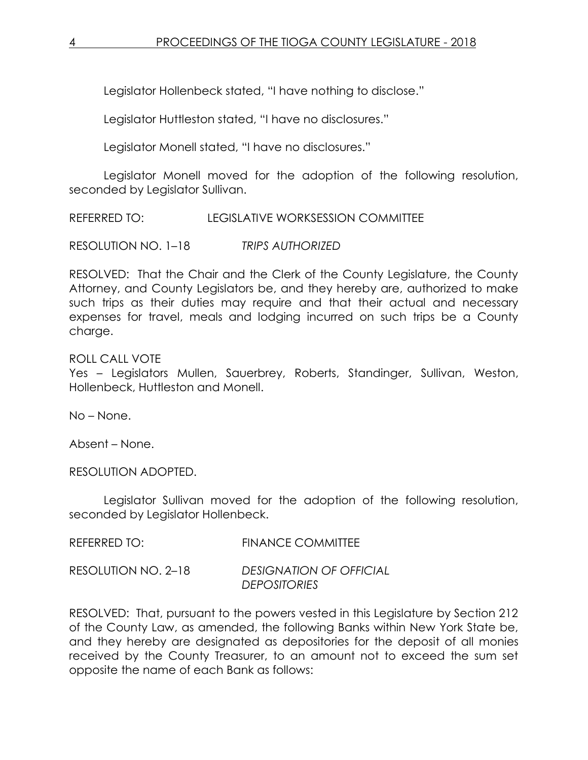Legislator Hollenbeck stated, "I have nothing to disclose."

Legislator Huttleston stated, "I have no disclosures."

Legislator Monell stated, "I have no disclosures."

Legislator Monell moved for the adoption of the following resolution, seconded by Legislator Sullivan.

REFERRED TO: LEGISLATIVE WORKSESSION COMMITTEE

RESOLUTION NO. 1–18 *TRIPS AUTHORIZED*

RESOLVED: That the Chair and the Clerk of the County Legislature, the County Attorney, and County Legislators be, and they hereby are, authorized to make such trips as their duties may require and that their actual and necessary expenses for travel, meals and lodging incurred on such trips be a County charge.

## ROLL CALL VOTE

Yes – Legislators Mullen, Sauerbrey, Roberts, Standinger, Sullivan, Weston, Hollenbeck, Huttleston and Monell.

No – None.

Absent – None.

RESOLUTION ADOPTED.

Legislator Sullivan moved for the adoption of the following resolution, seconded by Legislator Hollenbeck.

| REFERRED TO: | <b>FINANCE COMMITTEE</b> |
|--------------|--------------------------|
|              |                          |

RESOLUTION NO. 2–18 *DESIGNATION OF OFFICIAL DEPOSITORIES*

RESOLVED: That, pursuant to the powers vested in this Legislature by Section 212 of the County Law, as amended, the following Banks within New York State be, and they hereby are designated as depositories for the deposit of all monies received by the County Treasurer, to an amount not to exceed the sum set opposite the name of each Bank as follows: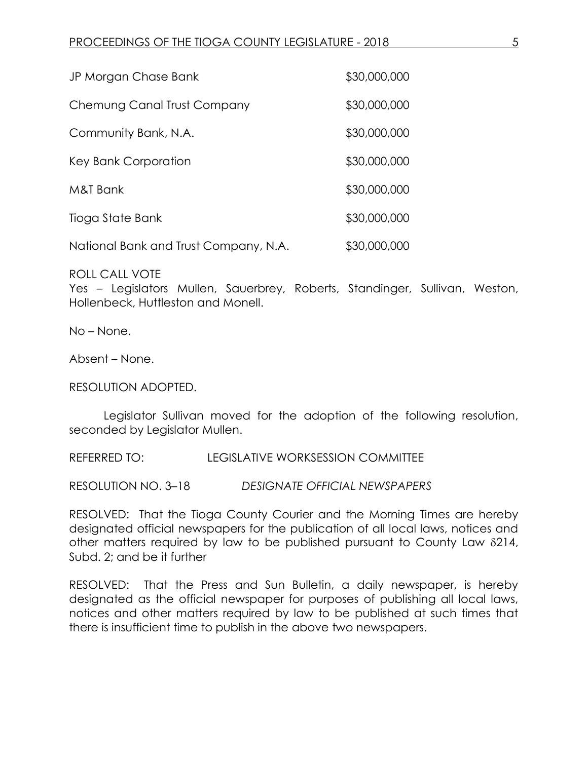| JP Morgan Chase Bank                  | \$30,000,000 |
|---------------------------------------|--------------|
| Chemung Canal Trust Company           | \$30,000,000 |
| Community Bank, N.A.                  | \$30,000,000 |
| Key Bank Corporation                  | \$30,000,000 |
| M&T Bank                              | \$30,000,000 |
| Tioga State Bank                      | \$30,000,000 |
| National Bank and Trust Company, N.A. | \$30,000,000 |

ROLL CALL VOTE

Yes – Legislators Mullen, Sauerbrey, Roberts, Standinger, Sullivan, Weston, Hollenbeck, Huttleston and Monell.

No – None.

Absent – None.

RESOLUTION ADOPTED.

Legislator Sullivan moved for the adoption of the following resolution, seconded by Legislator Mullen.

REFERRED TO: LEGISLATIVE WORKSESSION COMMITTEE

RESOLUTION NO. 3–18 *DESIGNATE OFFICIAL NEWSPAPERS*

RESOLVED: That the Tioga County Courier and the Morning Times are hereby designated official newspapers for the publication of all local laws, notices and other matters required by law to be published pursuant to County Law  $\delta$ 214, Subd. 2; and be it further

RESOLVED: That the Press and Sun Bulletin, a daily newspaper, is hereby designated as the official newspaper for purposes of publishing all local laws, notices and other matters required by law to be published at such times that there is insufficient time to publish in the above two newspapers.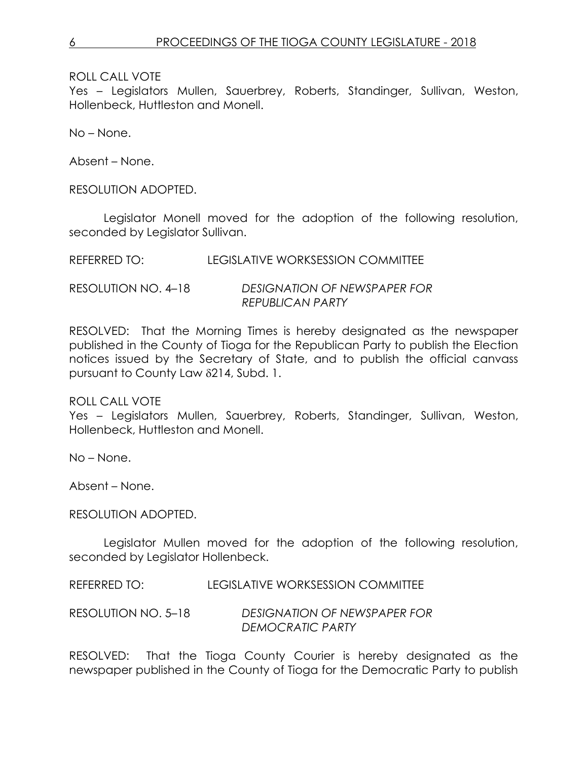ROLL CALL VOTE

Yes – Legislators Mullen, Sauerbrey, Roberts, Standinger, Sullivan, Weston, Hollenbeck, Huttleston and Monell.

No – None.

Absent – None.

RESOLUTION ADOPTED.

Legislator Monell moved for the adoption of the following resolution, seconded by Legislator Sullivan.

| REFERRED TO: | LEGISLATIVE WORKSESSION COMMITTEE |
|--------------|-----------------------------------|
|              |                                   |

RESOLUTION NO. 4–18 *DESIGNATION OF NEWSPAPER FOR REPUBLICAN PARTY*

RESOLVED: That the Morning Times is hereby designated as the newspaper published in the County of Tioga for the Republican Party to publish the Election notices issued by the Secretary of State, and to publish the official canvass pursuant to County Law 214, Subd. 1.

ROLL CALL VOTE

Yes – Legislators Mullen, Sauerbrey, Roberts, Standinger, Sullivan, Weston, Hollenbeck, Huttleston and Monell.

No – None.

Absent – None.

RESOLUTION ADOPTED.

Legislator Mullen moved for the adoption of the following resolution, seconded by Legislator Hollenbeck.

REFERRED TO: LEGISLATIVE WORKSESSION COMMITTEE

RESOLUTION NO. 5–18 *DESIGNATION OF NEWSPAPER FOR DEMOCRATIC PARTY*

RESOLVED: That the Tioga County Courier is hereby designated as the newspaper published in the County of Tioga for the Democratic Party to publish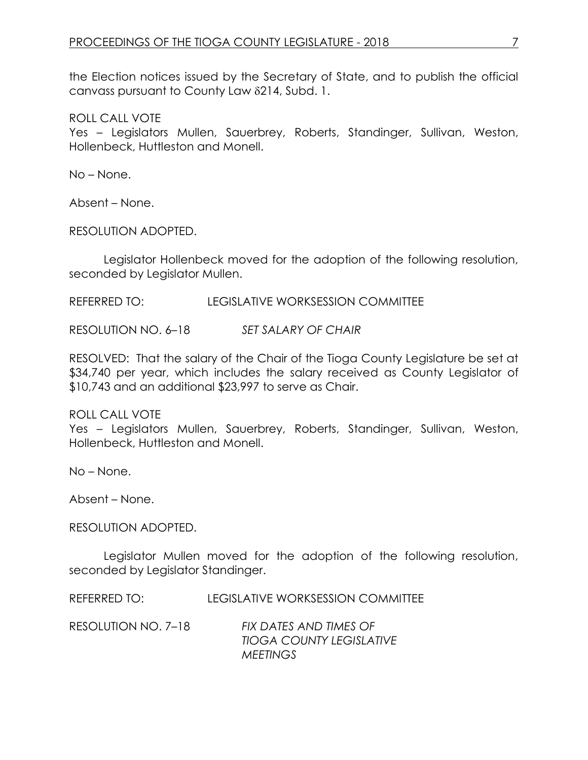the Election notices issued by the Secretary of State, and to publish the official canvass pursuant to County Law 8214, Subd. 1.

ROLL CALL VOTE

Yes – Legislators Mullen, Sauerbrey, Roberts, Standinger, Sullivan, Weston, Hollenbeck, Huttleston and Monell.

No – None.

Absent – None.

RESOLUTION ADOPTED.

Legislator Hollenbeck moved for the adoption of the following resolution, seconded by Legislator Mullen.

REFERRED TO: LEGISLATIVE WORKSESSION COMMITTEE

RESOLUTION NO. 6–18 *SET SALARY OF CHAIR*

RESOLVED: That the salary of the Chair of the Tioga County Legislature be set at \$34,740 per year, which includes the salary received as County Legislator of \$10,743 and an additional \$23,997 to serve as Chair.

ROLL CALL VOTE

Yes – Legislators Mullen, Sauerbrey, Roberts, Standinger, Sullivan, Weston, Hollenbeck, Huttleston and Monell.

No – None.

Absent – None.

RESOLUTION ADOPTED.

Legislator Mullen moved for the adoption of the following resolution, seconded by Legislator Standinger.

REFERRED TO: LEGISLATIVE WORKSESSION COMMITTEE

RESOLUTION NO. 7–18 *FIX DATES AND TIMES OF TIOGA COUNTY LEGISLATIVE MEETINGS*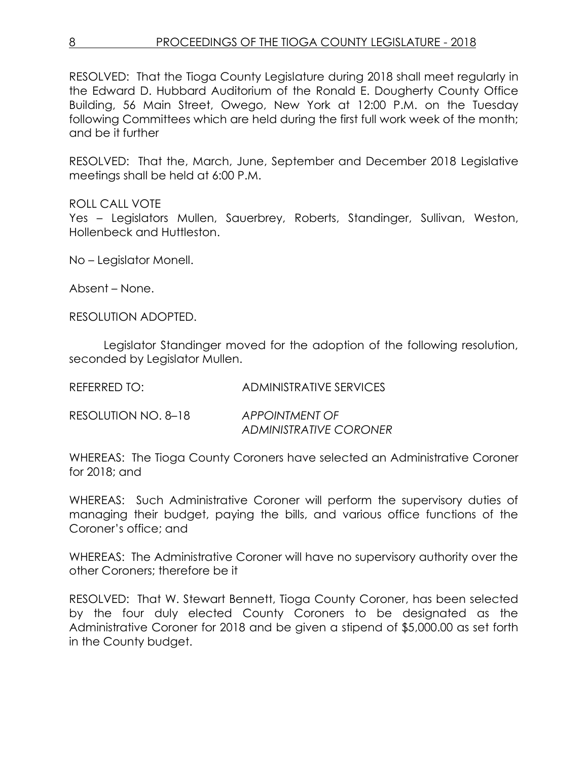## 8 **PROCEEDINGS OF THE TIOGA COUNTY LEGISLATURE - 2018**

RESOLVED: That the Tioga County Legislature during 2018 shall meet regularly in the Edward D. Hubbard Auditorium of the Ronald E. Dougherty County Office Building, 56 Main Street, Owego, New York at 12:00 P.M. on the Tuesday following Committees which are held during the first full work week of the month; and be it further

RESOLVED: That the, March, June, September and December 2018 Legislative meetings shall be held at 6:00 P.M.

## ROLL CALL VOTE

Yes – Legislators Mullen, Sauerbrey, Roberts, Standinger, Sullivan, Weston, Hollenbeck and Huttleston.

No – Legislator Monell.

Absent – None.

RESOLUTION ADOPTED.

Legislator Standinger moved for the adoption of the following resolution, seconded by Legislator Mullen.

| <b>REFERRED TO:</b> | <b>ADMINISTRATIVE SERVICES</b> |
|---------------------|--------------------------------|
|                     |                                |

RESOLUTION NO. 8–18 *APPOINTMENT OF ADMINISTRATIVE CORONER*

WHEREAS: The Tioga County Coroners have selected an Administrative Coroner for 2018; and

WHEREAS: Such Administrative Coroner will perform the supervisory duties of managing their budget, paying the bills, and various office functions of the Coroner's office; and

WHEREAS: The Administrative Coroner will have no supervisory authority over the other Coroners; therefore be it

RESOLVED: That W. Stewart Bennett, Tioga County Coroner, has been selected by the four duly elected County Coroners to be designated as the Administrative Coroner for 2018 and be given a stipend of \$5,000.00 as set forth in the County budget.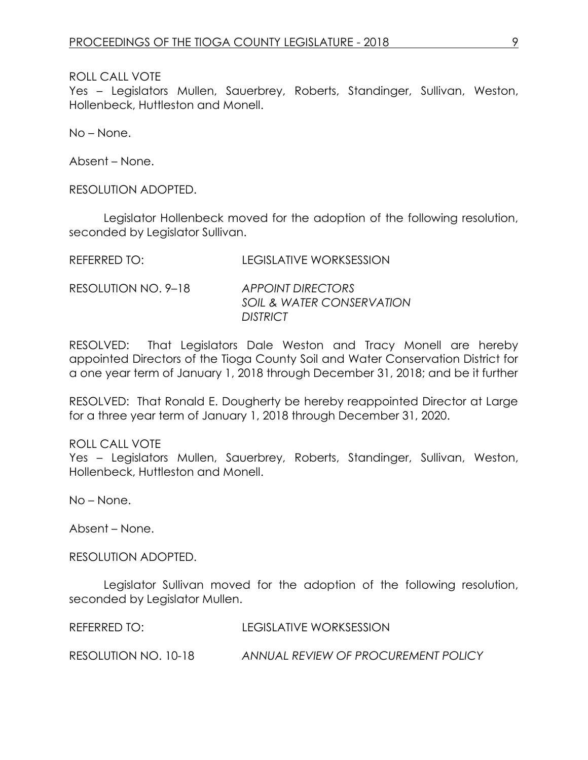ROLL CALL VOTE

Yes – Legislators Mullen, Sauerbrey, Roberts, Standinger, Sullivan, Weston, Hollenbeck, Huttleston and Monell.

No – None.

Absent – None.

RESOLUTION ADOPTED.

Legislator Hollenbeck moved for the adoption of the following resolution, seconded by Legislator Sullivan.

| <b>REFERRED TO:</b> | <b>LEGISLATIVE WORKSESSION</b> |
|---------------------|--------------------------------|

RESOLUTION NO. 9–18 *APPOINT DIRECTORS SOIL & WATER CONSERVATION DISTRICT*

RESOLVED: That Legislators Dale Weston and Tracy Monell are hereby appointed Directors of the Tioga County Soil and Water Conservation District for a one year term of January 1, 2018 through December 31, 2018; and be it further

RESOLVED: That Ronald E. Dougherty be hereby reappointed Director at Large for a three year term of January 1, 2018 through December 31, 2020.

ROLL CALL VOTE

Yes – Legislators Mullen, Sauerbrey, Roberts, Standinger, Sullivan, Weston, Hollenbeck, Huttleston and Monell.

No – None.

Absent – None.

RESOLUTION ADOPTED.

Legislator Sullivan moved for the adoption of the following resolution, seconded by Legislator Mullen.

REFERRED TO: LEGISLATIVE WORKSESSION

RESOLUTION NO. 10-18 *ANNUAL REVIEW OF PROCUREMENT POLICY*